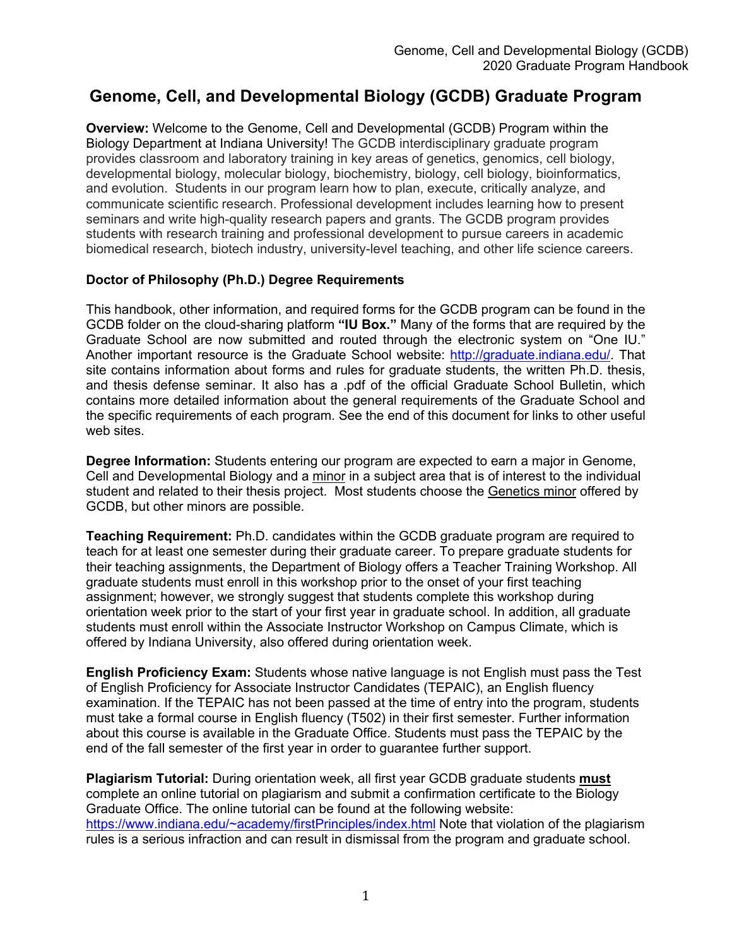# **Genome, Cell, and Developmental Biology (GCDB) Graduate Program**

**Overview:** Welcome to the Genome, Cell and Developmental (GCDB) Program within the Biology Department at Indiana University! The GCDB interdisciplinary graduate program provides classroom and laboratory training in key areas of genetics, genomics, cell biology, developmental biology, molecular biology, biochemistry, biology, cell biology, bioinformatics, and evolution. Students in our program learn how to plan, execute, critically analyze, and communicate scientific research. Professional development includes learning how to present seminars and write high-quality research papers and grants. The GCDB program provides students with research training and professional development to pursue careers in academic biomedical research, biotech industry, university-level teaching, and other life science careers.

# **Doctor of Philosophy (Ph.D.) Degree Requirements**

This handbook, other information, and required forms for the GCDB program can be found in the GCDB folder on the cloud-sharing platform **"IU Box."** Many of the forms that are required by the Graduate School are now submitted and routed through the electronic system on "One IU." Another important resource is the Graduate School website: http://graduate.indiana.edu/. That site contains information about forms and rules for graduate students, the written Ph.D. thesis, and thesis defense seminar. It also has a .pdf of the official Graduate School Bulletin, which contains more detailed information about the general requirements of the Graduate School and the specific requirements of each program. See the end of this document for links to other useful web sites.

**Degree Information:** Students entering our program are expected to earn a major in Genome, Cell and Developmental Biology and a minor in a subject area that is of interest to the individual student and related to their thesis project. Most students choose the Genetics minor offered by GCDB, but other minors are possible.

**Teaching Requirement:** Ph.D. candidates within the GCDB graduate program are required to teach for at least one semester during their graduate career. To prepare graduate students for their teaching assignments, the Department of Biology offers a Teacher Training Workshop. All graduate students must enroll in this workshop prior to the onset of your first teaching assignment; however, we strongly suggest that students complete this workshop during orientation week prior to the start of your first year in graduate school. In addition, all graduate students must enroll within the Associate Instructor Workshop on Campus Climate, which is offered by Indiana University, also offered during orientation week.

**English Proficiency Exam:** Students whose native language is not English must pass the Test of English Proficiency for Associate Instructor Candidates (TEPAIC), an English fluency examination. If the TEPAIC has not been passed at the time of entry into the program, students must take a formal course in English fluency (T502) in their first semester. Further information about this course is available in the Graduate Office. Students must pass the TEPAIC by the end of the fall semester of the first year in order to guarantee further support.

**Plagiarism Tutorial:** During orientation week, all first year GCDB graduate students **must** complete an online tutorial on plagiarism and submit a confirmation certificate to the Biology Graduate Office. The online tutorial can be found at the following website: https://www.indiana.edu/~academy/firstPrinciples/index.html Note that violation of the plagiarism rules is a serious infraction and can result in dismissal from the program and graduate school.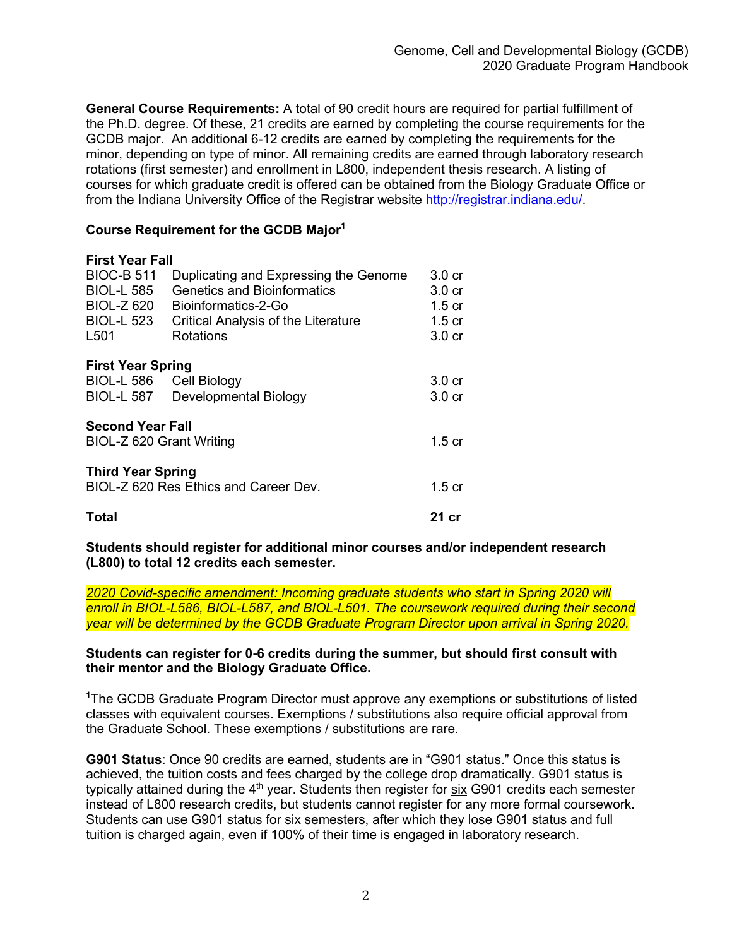**General Course Requirements:** A total of 90 credit hours are required for partial fulfillment of the Ph.D. degree. Of these, 21 credits are earned by completing the course requirements for the GCDB major. An additional 6-12 credits are earned by completing the requirements for the minor, depending on type of minor. All remaining credits are earned through laboratory research rotations (first semester) and enrollment in L800, independent thesis research. A listing of courses for which graduate credit is offered can be obtained from the Biology Graduate Office or from the Indiana University Office of the Registrar website http://registrar.indiana.edu/.

# **Course Requirement for the GCDB Major1**

| <b>First Year Fall</b>                     |                   |
|--------------------------------------------|-------------------|
| Duplicating and Expressing the Genome      | $3.0 \text{ cr}$  |
| Genetics and Bioinformatics                | 3.0 <sub>cr</sub> |
| Bioinformatics-2-Go                        | $1.5 \text{ cr}$  |
| <b>Critical Analysis of the Literature</b> | 1.5 <sub>cr</sub> |
| Rotations                                  | 3.0 <sub>cr</sub> |
| <b>First Year Spring</b>                   |                   |
| Cell Biology                               | 3.0 <sub>cr</sub> |
| Developmental Biology                      | 3.0 <sub>cr</sub> |
| <b>Second Year Fall</b>                    |                   |
| BIOL-Z 620 Grant Writing                   | $1.5 \text{ cr}$  |
| <b>Third Year Spring</b>                   |                   |
| BIOL-Z 620 Res Ethics and Career Dev.      | 1.5 cr            |
|                                            | 21 cr             |
|                                            |                   |

**Students should register for additional minor courses and/or independent research (L800) to total 12 credits each semester.** 

*2020 Covid-specific amendment: Incoming graduate students who start in Spring 2020 will enroll in BIOL-L586, BIOL-L587, and BIOL-L501. The coursework required during their second year will be determined by the GCDB Graduate Program Director upon arrival in Spring 2020.*

### **Students can register for 0-6 credits during the summer, but should first consult with their mentor and the Biology Graduate Office.**

**1** The GCDB Graduate Program Director must approve any exemptions or substitutions of listed classes with equivalent courses. Exemptions / substitutions also require official approval from the Graduate School. These exemptions / substitutions are rare.

**G901 Status**: Once 90 credits are earned, students are in "G901 status." Once this status is achieved, the tuition costs and fees charged by the college drop dramatically. G901 status is typically attained during the 4<sup>th</sup> year. Students then register for six G901 credits each semester instead of L800 research credits, but students cannot register for any more formal coursework. Students can use G901 status for six semesters, after which they lose G901 status and full tuition is charged again, even if 100% of their time is engaged in laboratory research.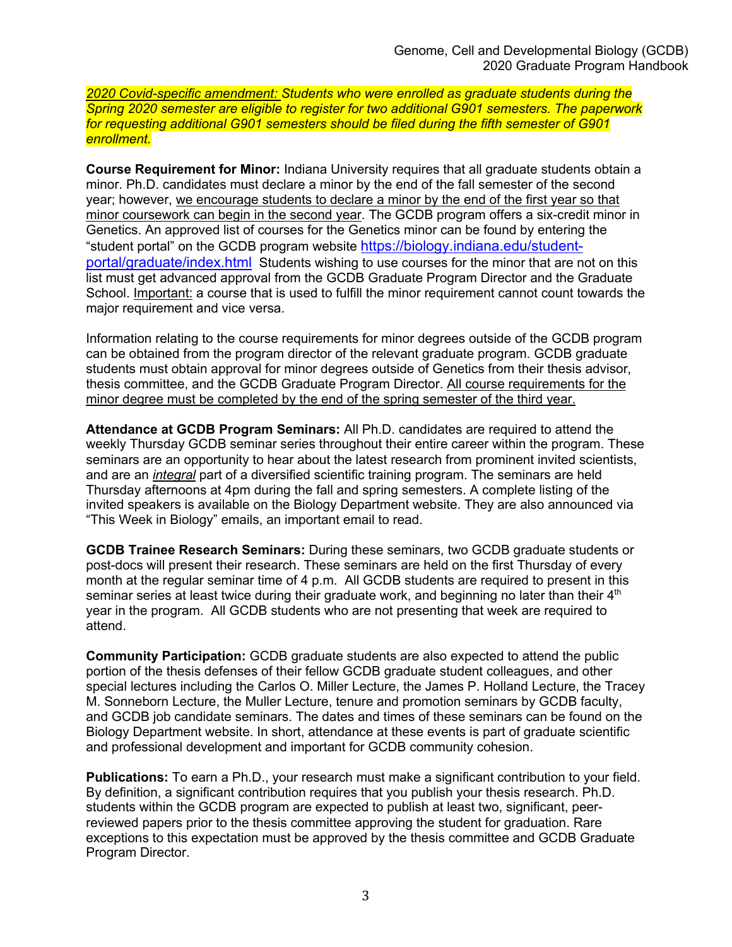*2020 Covid-specific amendment: Students who were enrolled as graduate students during the Spring 2020 semester are eligible to register for two additional G901 semesters. The paperwork for requesting additional G901 semesters should be filed during the fifth semester of G901 enrollment.*

**Course Requirement for Minor:** Indiana University requires that all graduate students obtain a minor. Ph.D. candidates must declare a minor by the end of the fall semester of the second year; however, we encourage students to declare a minor by the end of the first year so that minor coursework can begin in the second year. The GCDB program offers a six-credit minor in Genetics. An approved list of courses for the Genetics minor can be found by entering the "student portal" on the GCDB program website https://biology.indiana.edu/studentportal/graduate/index.html Students wishing to use courses for the minor that are not on this list must get advanced approval from the GCDB Graduate Program Director and the Graduate School. Important: a course that is used to fulfill the minor requirement cannot count towards the major requirement and vice versa.

Information relating to the course requirements for minor degrees outside of the GCDB program can be obtained from the program director of the relevant graduate program. GCDB graduate students must obtain approval for minor degrees outside of Genetics from their thesis advisor, thesis committee, and the GCDB Graduate Program Director. All course requirements for the minor degree must be completed by the end of the spring semester of the third year.

**Attendance at GCDB Program Seminars:** All Ph.D. candidates are required to attend the weekly Thursday GCDB seminar series throughout their entire career within the program. These seminars are an opportunity to hear about the latest research from prominent invited scientists, and are an *integral* part of a diversified scientific training program. The seminars are held Thursday afternoons at 4pm during the fall and spring semesters. A complete listing of the invited speakers is available on the Biology Department website. They are also announced via "This Week in Biology" emails, an important email to read.

**GCDB Trainee Research Seminars:** During these seminars, two GCDB graduate students or post-docs will present their research. These seminars are held on the first Thursday of every month at the regular seminar time of 4 p.m. All GCDB students are required to present in this seminar series at least twice during their graduate work, and beginning no later than their  $4<sup>th</sup>$ year in the program. All GCDB students who are not presenting that week are required to attend.

**Community Participation:** GCDB graduate students are also expected to attend the public portion of the thesis defenses of their fellow GCDB graduate student colleagues, and other special lectures including the Carlos O. Miller Lecture, the James P. Holland Lecture, the Tracey M. Sonneborn Lecture, the Muller Lecture, tenure and promotion seminars by GCDB faculty, and GCDB job candidate seminars. The dates and times of these seminars can be found on the Biology Department website. In short, attendance at these events is part of graduate scientific and professional development and important for GCDB community cohesion.

**Publications:** To earn a Ph.D., your research must make a significant contribution to your field. By definition, a significant contribution requires that you publish your thesis research. Ph.D. students within the GCDB program are expected to publish at least two, significant, peerreviewed papers prior to the thesis committee approving the student for graduation. Rare exceptions to this expectation must be approved by the thesis committee and GCDB Graduate Program Director.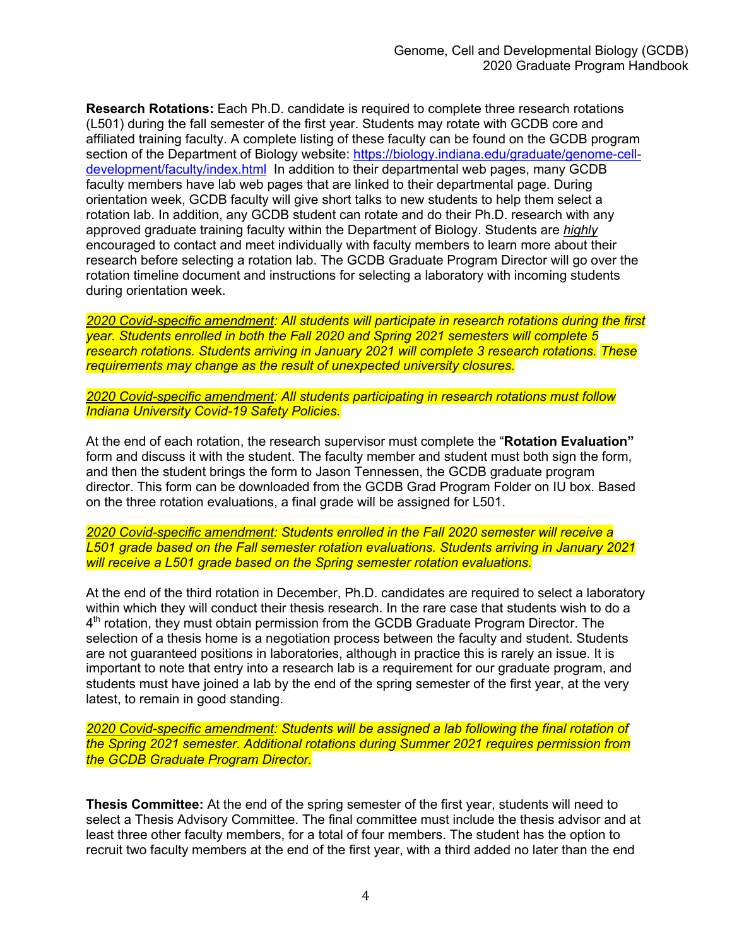**Research Rotations:** Each Ph.D. candidate is required to complete three research rotations (L501) during the fall semester of the first year. Students may rotate with GCDB core and affiliated training faculty. A complete listing of these faculty can be found on the GCDB program section of the Department of Biology website: https://biology.indiana.edu/graduate/genome-celldevelopment/faculty/index.html In addition to their departmental web pages, many GCDB faculty members have lab web pages that are linked to their departmental page. During orientation week, GCDB faculty will give short talks to new students to help them select a rotation lab. In addition, any GCDB student can rotate and do their Ph.D. research with any approved graduate training faculty within the Department of Biology. Students are *highly* encouraged to contact and meet individually with faculty members to learn more about their research before selecting a rotation lab. The GCDB Graduate Program Director will go over the rotation timeline document and instructions for selecting a laboratory with incoming students during orientation week.

*2020 Covid-specific amendment: All students will participate in research rotations during the first year. Students enrolled in both the Fall 2020 and Spring 2021 semesters will complete 5 research rotations. Students arriving in January 2021 will complete 3 research rotations. These requirements may change as the result of unexpected university closures.*

*2020 Covid-specific amendment: All students participating in research rotations must follow Indiana University Covid-19 Safety Policies.*

At the end of each rotation, the research supervisor must complete the "**Rotation Evaluation"** form and discuss it with the student. The faculty member and student must both sign the form, and then the student brings the form to Jason Tennessen, the GCDB graduate program director. This form can be downloaded from the GCDB Grad Program Folder on IU box. Based on the three rotation evaluations, a final grade will be assigned for L501.

*2020 Covid-specific amendment: Students enrolled in the Fall 2020 semester will receive a L501 grade based on the Fall semester rotation evaluations. Students arriving in January 2021 will receive a L501 grade based on the Spring semester rotation evaluations.*

At the end of the third rotation in December, Ph.D. candidates are required to select a laboratory within which they will conduct their thesis research. In the rare case that students wish to do a 4th rotation, they must obtain permission from the GCDB Graduate Program Director. The selection of a thesis home is a negotiation process between the faculty and student. Students are not guaranteed positions in laboratories, although in practice this is rarely an issue. It is important to note that entry into a research lab is a requirement for our graduate program, and students must have joined a lab by the end of the spring semester of the first year, at the very latest, to remain in good standing.

*2020 Covid-specific amendment: Students will be assigned a lab following the final rotation of the Spring 2021 semester. Additional rotations during Summer 2021 requires permission from the GCDB Graduate Program Director.*

**Thesis Committee:** At the end of the spring semester of the first year, students will need to select a Thesis Advisory Committee. The final committee must include the thesis advisor and at least three other faculty members, for a total of four members. The student has the option to recruit two faculty members at the end of the first year, with a third added no later than the end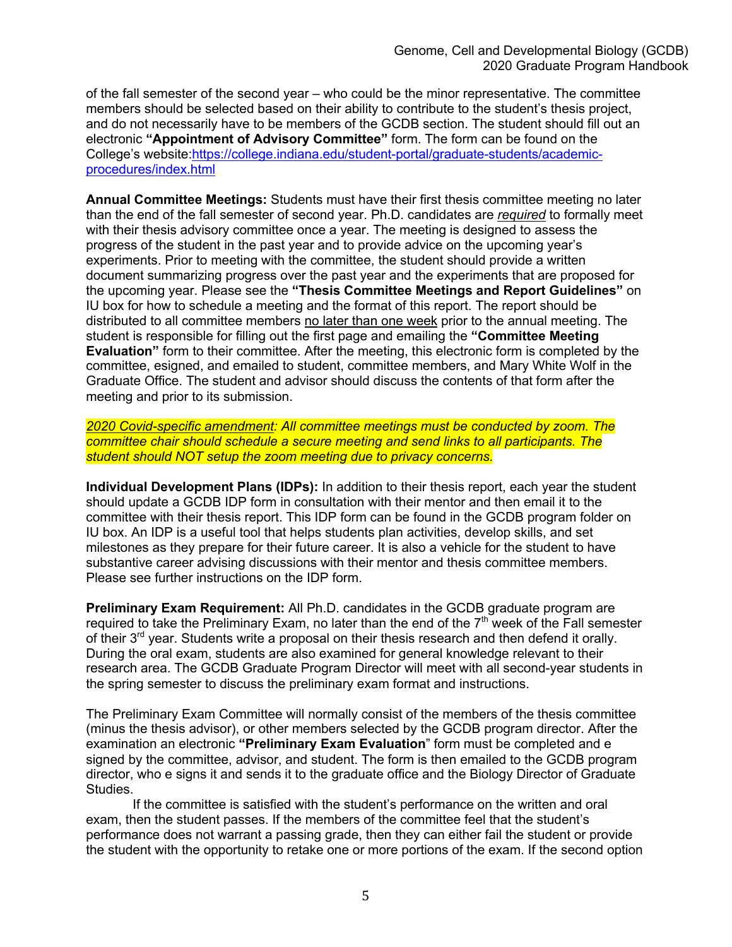of the fall semester of the second year – who could be the minor representative. The committee members should be selected based on their ability to contribute to the student's thesis project, and do not necessarily have to be members of the GCDB section. The student should fill out an electronic **"Appointment of Advisory Committee"** form. The form can be found on the College's website:https://college.indiana.edu/student-portal/graduate-students/academicprocedures/index.html

**Annual Committee Meetings:** Students must have their first thesis committee meeting no later than the end of the fall semester of second year. Ph.D. candidates are *required* to formally meet with their thesis advisory committee once a year. The meeting is designed to assess the progress of the student in the past year and to provide advice on the upcoming year's experiments. Prior to meeting with the committee, the student should provide a written document summarizing progress over the past year and the experiments that are proposed for the upcoming year. Please see the **"Thesis Committee Meetings and Report Guidelines"** on IU box for how to schedule a meeting and the format of this report. The report should be distributed to all committee members no later than one week prior to the annual meeting. The student is responsible for filling out the first page and emailing the **"Committee Meeting Evaluation"** form to their committee. After the meeting, this electronic form is completed by the committee, esigned, and emailed to student, committee members, and Mary White Wolf in the Graduate Office. The student and advisor should discuss the contents of that form after the meeting and prior to its submission.

*2020 Covid-specific amendment: All committee meetings must be conducted by zoom. The committee chair should schedule a secure meeting and send links to all participants. The student should NOT setup the zoom meeting due to privacy concerns.*

**Individual Development Plans (IDPs):** In addition to their thesis report, each year the student should update a GCDB IDP form in consultation with their mentor and then email it to the committee with their thesis report. This IDP form can be found in the GCDB program folder on IU box. An IDP is a useful tool that helps students plan activities, develop skills, and set milestones as they prepare for their future career. It is also a vehicle for the student to have substantive career advising discussions with their mentor and thesis committee members. Please see further instructions on the IDP form.

**Preliminary Exam Requirement:** All Ph.D. candidates in the GCDB graduate program are required to take the Preliminary Exam, no later than the end of the  $7<sup>th</sup>$  week of the Fall semester of their 3<sup>rd</sup> year. Students write a proposal on their thesis research and then defend it orally. During the oral exam, students are also examined for general knowledge relevant to their research area. The GCDB Graduate Program Director will meet with all second-year students in the spring semester to discuss the preliminary exam format and instructions.

The Preliminary Exam Committee will normally consist of the members of the thesis committee (minus the thesis advisor), or other members selected by the GCDB program director. After the examination an electronic **"Preliminary Exam Evaluation**" form must be completed and e signed by the committee, advisor, and student. The form is then emailed to the GCDB program director, who e signs it and sends it to the graduate office and the Biology Director of Graduate Studies.

If the committee is satisfied with the student's performance on the written and oral exam, then the student passes. If the members of the committee feel that the student's performance does not warrant a passing grade, then they can either fail the student or provide the student with the opportunity to retake one or more portions of the exam. If the second option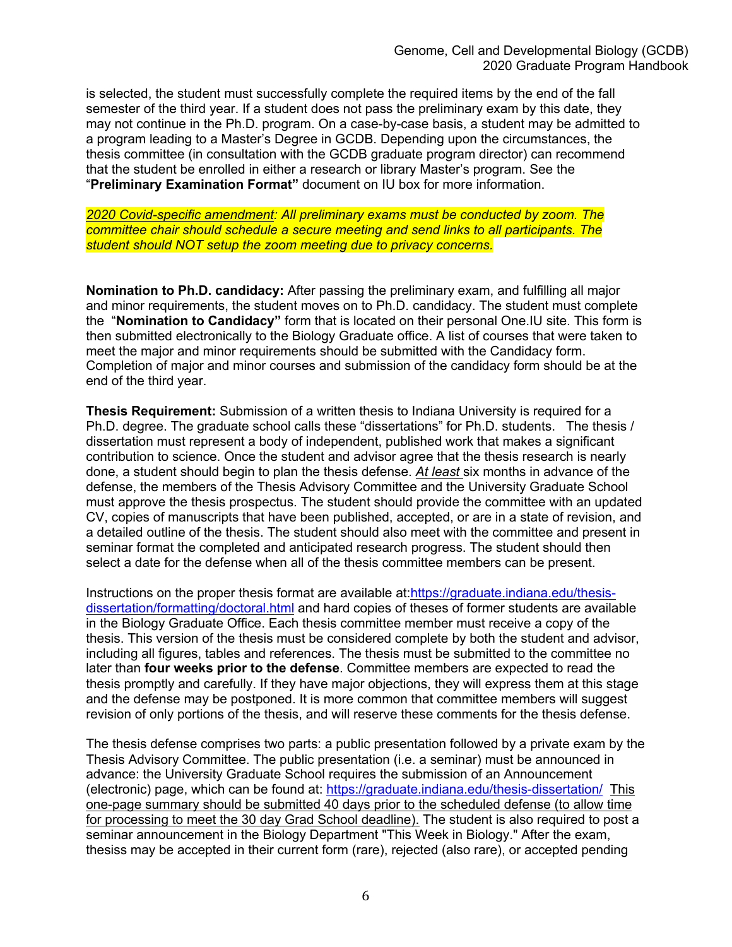is selected, the student must successfully complete the required items by the end of the fall semester of the third year. If a student does not pass the preliminary exam by this date, they may not continue in the Ph.D. program. On a case-by-case basis, a student may be admitted to a program leading to a Master's Degree in GCDB. Depending upon the circumstances, the thesis committee (in consultation with the GCDB graduate program director) can recommend that the student be enrolled in either a research or library Master's program. See the "**Preliminary Examination Format"** document on IU box for more information.

*2020 Covid-specific amendment: All preliminary exams must be conducted by zoom. The committee chair should schedule a secure meeting and send links to all participants. The student should NOT setup the zoom meeting due to privacy concerns.*

**Nomination to Ph.D. candidacy:** After passing the preliminary exam, and fulfilling all major and minor requirements, the student moves on to Ph.D. candidacy. The student must complete the "**Nomination to Candidacy"** form that is located on their personal One.IU site. This form is then submitted electronically to the Biology Graduate office. A list of courses that were taken to meet the major and minor requirements should be submitted with the Candidacy form. Completion of major and minor courses and submission of the candidacy form should be at the end of the third year.

**Thesis Requirement:** Submission of a written thesis to Indiana University is required for a Ph.D. degree. The graduate school calls these "dissertations" for Ph.D. students. The thesis / dissertation must represent a body of independent, published work that makes a significant contribution to science. Once the student and advisor agree that the thesis research is nearly done, a student should begin to plan the thesis defense. *At least* six months in advance of the defense, the members of the Thesis Advisory Committee and the University Graduate School must approve the thesis prospectus. The student should provide the committee with an updated CV, copies of manuscripts that have been published, accepted, or are in a state of revision, and a detailed outline of the thesis. The student should also meet with the committee and present in seminar format the completed and anticipated research progress. The student should then select a date for the defense when all of the thesis committee members can be present.

Instructions on the proper thesis format are available at:https://graduate.indiana.edu/thesisdissertation/formatting/doctoral.html and hard copies of theses of former students are available in the Biology Graduate Office. Each thesis committee member must receive a copy of the thesis. This version of the thesis must be considered complete by both the student and advisor, including all figures, tables and references. The thesis must be submitted to the committee no later than **four weeks prior to the defense**. Committee members are expected to read the thesis promptly and carefully. If they have major objections, they will express them at this stage and the defense may be postponed. It is more common that committee members will suggest revision of only portions of the thesis, and will reserve these comments for the thesis defense.

The thesis defense comprises two parts: a public presentation followed by a private exam by the Thesis Advisory Committee. The public presentation (i.e. a seminar) must be announced in advance: the University Graduate School requires the submission of an Announcement (electronic) page, which can be found at: https://graduate.indiana.edu/thesis-dissertation/ This one-page summary should be submitted 40 days prior to the scheduled defense (to allow time for processing to meet the 30 day Grad School deadline). The student is also required to post a seminar announcement in the Biology Department "This Week in Biology." After the exam, thesiss may be accepted in their current form (rare), rejected (also rare), or accepted pending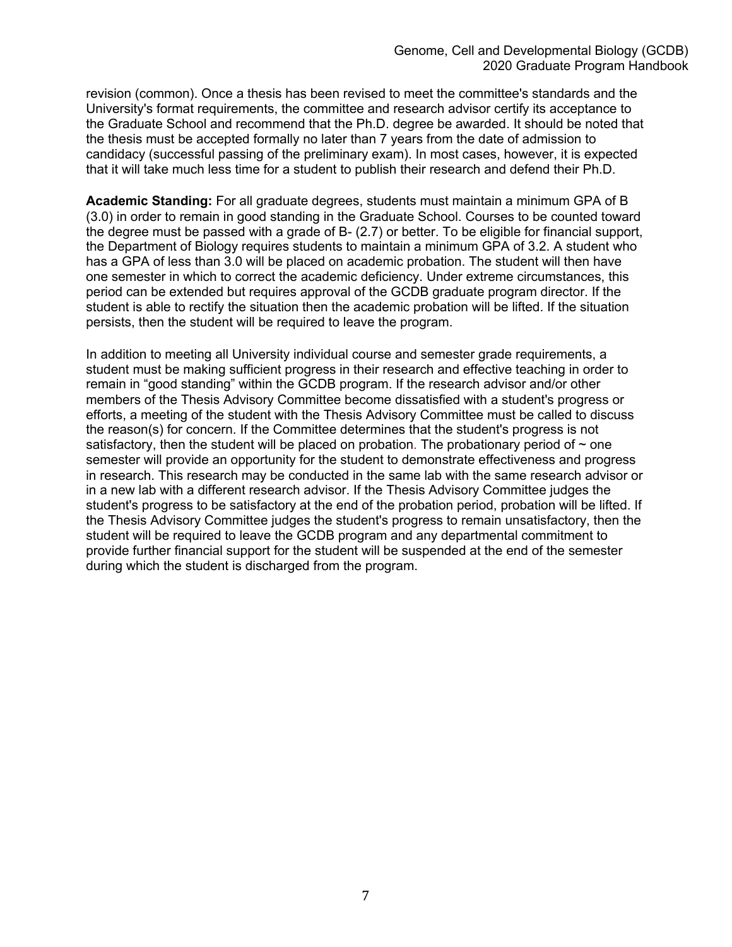revision (common). Once a thesis has been revised to meet the committee's standards and the University's format requirements, the committee and research advisor certify its acceptance to the Graduate School and recommend that the Ph.D. degree be awarded. It should be noted that the thesis must be accepted formally no later than 7 years from the date of admission to candidacy (successful passing of the preliminary exam). In most cases, however, it is expected that it will take much less time for a student to publish their research and defend their Ph.D.

**Academic Standing:** For all graduate degrees, students must maintain a minimum GPA of B (3.0) in order to remain in good standing in the Graduate School. Courses to be counted toward the degree must be passed with a grade of B- (2.7) or better. To be eligible for financial support, the Department of Biology requires students to maintain a minimum GPA of 3.2. A student who has a GPA of less than 3.0 will be placed on academic probation. The student will then have one semester in which to correct the academic deficiency. Under extreme circumstances, this period can be extended but requires approval of the GCDB graduate program director. If the student is able to rectify the situation then the academic probation will be lifted. If the situation persists, then the student will be required to leave the program.

In addition to meeting all University individual course and semester grade requirements, a student must be making sufficient progress in their research and effective teaching in order to remain in "good standing" within the GCDB program. If the research advisor and/or other members of the Thesis Advisory Committee become dissatisfied with a student's progress or efforts, a meeting of the student with the Thesis Advisory Committee must be called to discuss the reason(s) for concern. If the Committee determines that the student's progress is not satisfactory, then the student will be placed on probation. The probationary period of  $\sim$  one semester will provide an opportunity for the student to demonstrate effectiveness and progress in research. This research may be conducted in the same lab with the same research advisor or in a new lab with a different research advisor. If the Thesis Advisory Committee judges the student's progress to be satisfactory at the end of the probation period, probation will be lifted. If the Thesis Advisory Committee judges the student's progress to remain unsatisfactory, then the student will be required to leave the GCDB program and any departmental commitment to provide further financial support for the student will be suspended at the end of the semester during which the student is discharged from the program.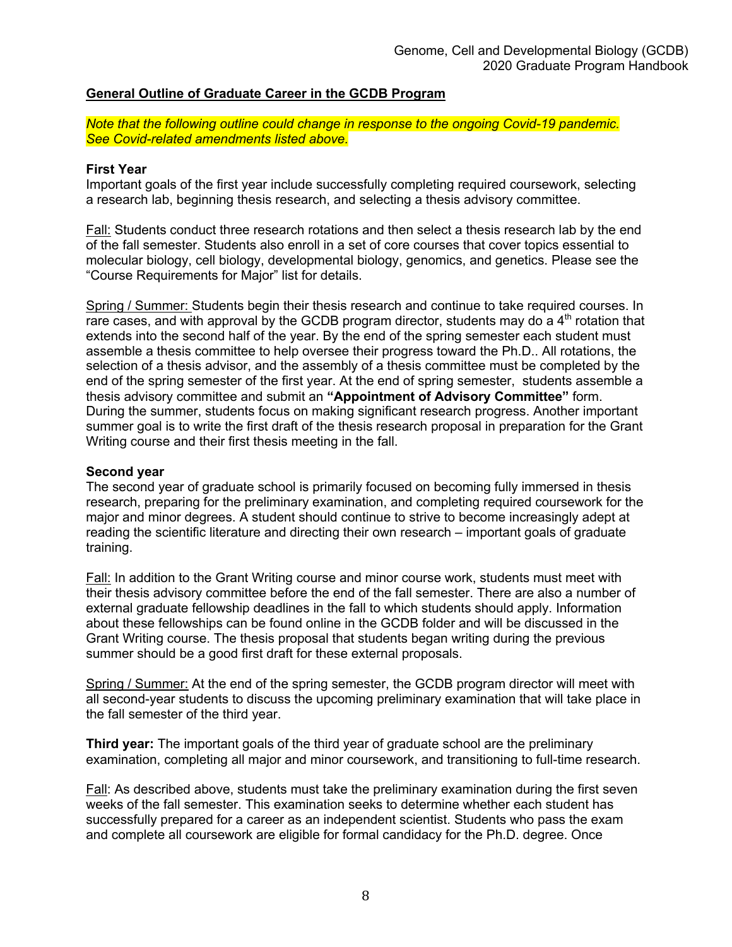## **General Outline of Graduate Career in the GCDB Program**

*Note that the following outline could change in response to the ongoing Covid-19 pandemic. See Covid-related amendments listed above.*

### **First Year**

Important goals of the first year include successfully completing required coursework, selecting a research lab, beginning thesis research, and selecting a thesis advisory committee.

Fall: Students conduct three research rotations and then select a thesis research lab by the end of the fall semester. Students also enroll in a set of core courses that cover topics essential to molecular biology, cell biology, developmental biology, genomics, and genetics. Please see the "Course Requirements for Major" list for details.

Spring / Summer: Students begin their thesis research and continue to take required courses. In rare cases, and with approval by the GCDB program director, students may do a  $4<sup>th</sup>$  rotation that extends into the second half of the year. By the end of the spring semester each student must assemble a thesis committee to help oversee their progress toward the Ph.D.. All rotations, the selection of a thesis advisor, and the assembly of a thesis committee must be completed by the end of the spring semester of the first year. At the end of spring semester, students assemble a thesis advisory committee and submit an **"Appointment of Advisory Committee"** form. During the summer, students focus on making significant research progress. Another important summer goal is to write the first draft of the thesis research proposal in preparation for the Grant Writing course and their first thesis meeting in the fall.

#### **Second year**

The second year of graduate school is primarily focused on becoming fully immersed in thesis research, preparing for the preliminary examination, and completing required coursework for the major and minor degrees. A student should continue to strive to become increasingly adept at reading the scientific literature and directing their own research – important goals of graduate training.

Fall: In addition to the Grant Writing course and minor course work, students must meet with their thesis advisory committee before the end of the fall semester. There are also a number of external graduate fellowship deadlines in the fall to which students should apply. Information about these fellowships can be found online in the GCDB folder and will be discussed in the Grant Writing course. The thesis proposal that students began writing during the previous summer should be a good first draft for these external proposals.

Spring / Summer: At the end of the spring semester, the GCDB program director will meet with all second-year students to discuss the upcoming preliminary examination that will take place in the fall semester of the third year.

**Third year:** The important goals of the third year of graduate school are the preliminary examination, completing all major and minor coursework, and transitioning to full-time research.

Fall: As described above, students must take the preliminary examination during the first seven weeks of the fall semester. This examination seeks to determine whether each student has successfully prepared for a career as an independent scientist. Students who pass the exam and complete all coursework are eligible for formal candidacy for the Ph.D. degree. Once